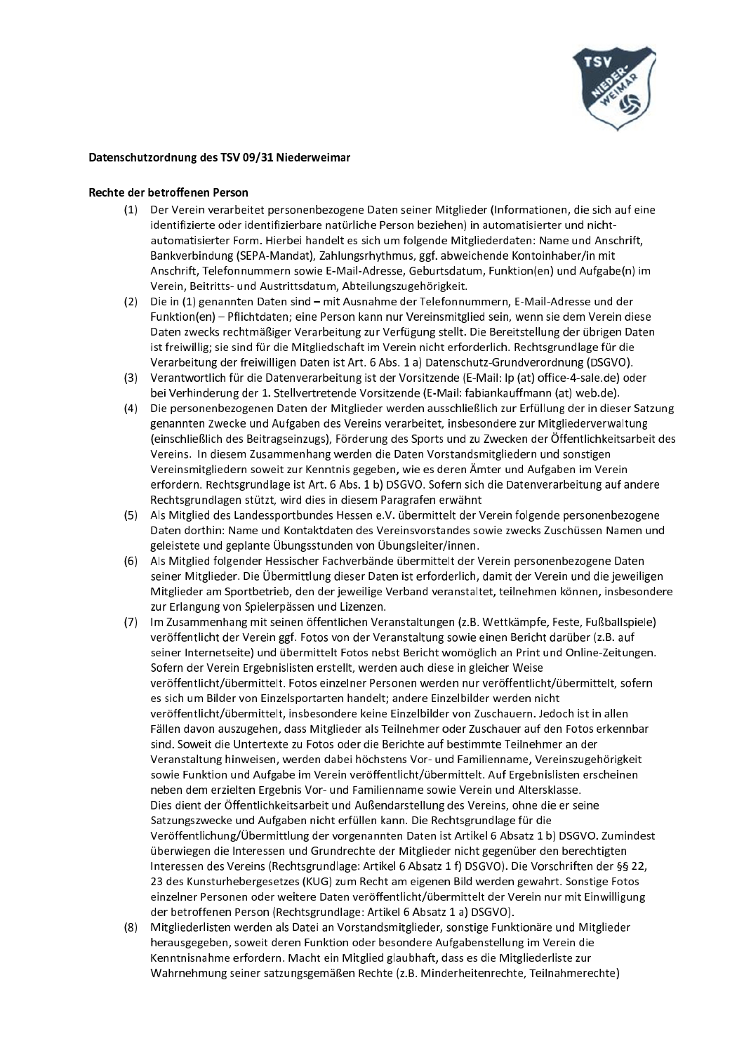

## Datenschutzordnung des TSV 09/31 Niederweimar

## Rechte der betroffenen Person

- (1) Der Verein verarbeitet personenbezogene Daten seiner Mitglieder (Informationen, die sich auf eine identifizierte oder identifizierbare natürliche Person beziehen) in automatisierter und nichtautomatisierter Form. Hierbei handelt es sich um folgende Mitgliederdaten: Name und Anschrift, Bankverbindung (SEPA-Mandat), Zahlungsrhythmus, ggf. abweichende Kontoinhaber/in mit Anschrift, Telefonnummern sowie E-Mail-Adresse, Geburtsdatum, Funktion(en) und Aufgabe(n) im Verein, Beitritts- und Austrittsdatum, Abteilungszugehörigkeit.
- (2) Die in (1) genannten Daten sind mit Ausnahme der Telefonnummern, E-Mail-Adresse und der Funktion(en) - Pflichtdaten; eine Person kann nur Vereinsmitglied sein, wenn sie dem Verein diese Daten zwecks rechtmäßiger Verarbeitung zur Verfügung stellt. Die Bereitstellung der übrigen Daten ist freiwillig; sie sind für die Mitgliedschaft im Verein nicht erforderlich. Rechtsgrundlage für die Verarbeitung der freiwilligen Daten ist Art. 6 Abs. 1 a) Datenschutz-Grundverordnung (DSGVO).
- (3) Verantwortlich für die Datenverarbeitung ist der Vorsitzende (E-Mail: lp (at) office-4-sale.de) oder bei Verhinderung der 1. Stellvertretende Vorsitzende (E-Mail: fabiankauffmann (at) web.de).
- (4) Die personenbezogenen Daten der Mitglieder werden ausschließlich zur Erfüllung der in dieser Satzung genannten Zwecke und Aufgaben des Vereins verarbeitet, insbesondere zur Mitgliederverwaltung (einschließlich des Beitragseinzugs), Förderung des Sports und zu Zwecken der Öffentlichkeitsarbeit des Vereins. In diesem Zusammenhang werden die Daten Vorstandsmitgliedern und sonstigen Vereinsmitgliedern soweit zur Kenntnis gegeben, wie es deren Ämter und Aufgaben im Verein erfordern. Rechtsgrundlage ist Art. 6 Abs. 1 b) DSGVO. Sofern sich die Datenverarbeitung auf andere Rechtsgrundlagen stützt, wird dies in diesem Paragrafen erwähnt
- (5) Als Mitglied des Landessportbundes Hessen e.V. übermittelt der Verein folgende personenbezogene Daten dorthin: Name und Kontaktdaten des Vereinsvorstandes sowie zwecks Zuschüssen Namen und geleistete und geplante Übungsstunden von Übungsleiter/innen.
- (6) Als Mitglied folgender Hessischer Fachverbände übermittelt der Verein personenbezogene Daten seiner Mitglieder. Die Übermittlung dieser Daten ist erforderlich, damit der Verein und die jeweiligen Mitglieder am Sportbetrieb, den der jeweilige Verband veranstaltet, teilnehmen können, insbesondere zur Erlangung von Spielerpässen und Lizenzen.
- (7) Im Zusammenhang mit seinen öffentlichen Veranstaltungen (z.B. Wettkämpfe, Feste, Fußballspiele) veröffentlicht der Verein ggf. Fotos von der Veranstaltung sowie einen Bericht darüber (z.B. auf seiner Internetseite) und übermittelt Fotos nebst Bericht womöglich an Print und Online-Zeitungen. Sofern der Verein Ergebnislisten erstellt, werden auch diese in gleicher Weise veröffentlicht/übermittelt. Fotos einzelner Personen werden nur veröffentlicht/übermittelt, sofern es sich um Bilder von Einzelsportarten handelt; andere Einzelbilder werden nicht veröffentlicht/übermittelt, insbesondere keine Einzelbilder von Zuschauern. Jedoch ist in allen Fällen davon auszugehen, dass Mitglieder als Teilnehmer oder Zuschauer auf den Fotos erkennbar sind. Soweit die Untertexte zu Fotos oder die Berichte auf bestimmte Teilnehmer an der Veranstaltung hinweisen, werden dabei höchstens Vor- und Familienname, Vereinszugehörigkeit sowie Funktion und Aufgabe im Verein veröffentlicht/übermittelt. Auf Ergebnislisten erscheinen neben dem erzielten Ergebnis Vor- und Familienname sowie Verein und Altersklasse. Dies dient der Öffentlichkeitsarbeit und Außendarstellung des Vereins, ohne die er seine Satzungszwecke und Aufgaben nicht erfüllen kann. Die Rechtsgrundlage für die Veröffentlichung/Übermittlung der vorgenannten Daten ist Artikel 6 Absatz 1 b) DSGVO. Zumindest überwiegen die Interessen und Grundrechte der Mitglieder nicht gegenüber den berechtigten Interessen des Vereins (Rechtsgrundlage: Artikel 6 Absatz 1 f) DSGVO). Die Vorschriften der §§ 22, 23 des Kunsturhebergesetzes (KUG) zum Recht am eigenen Bild werden gewahrt. Sonstige Fotos einzelner Personen oder weitere Daten veröffentlicht/übermittelt der Verein nur mit Einwilligung der betroffenen Person (Rechtsgrundlage: Artikel 6 Absatz 1 a) DSGVO).
- (8) Mitgliederlisten werden als Datei an Vorstandsmitglieder, sonstige Funktionäre und Mitglieder herausgegeben, soweit deren Funktion oder besondere Aufgabenstellung im Verein die Kenntnisnahme erfordern. Macht ein Mitglied glaubhaft, dass es die Mitgliederliste zur Wahrnehmung seiner satzungsgemäßen Rechte (z.B. Minderheitenrechte, Teilnahmerechte)